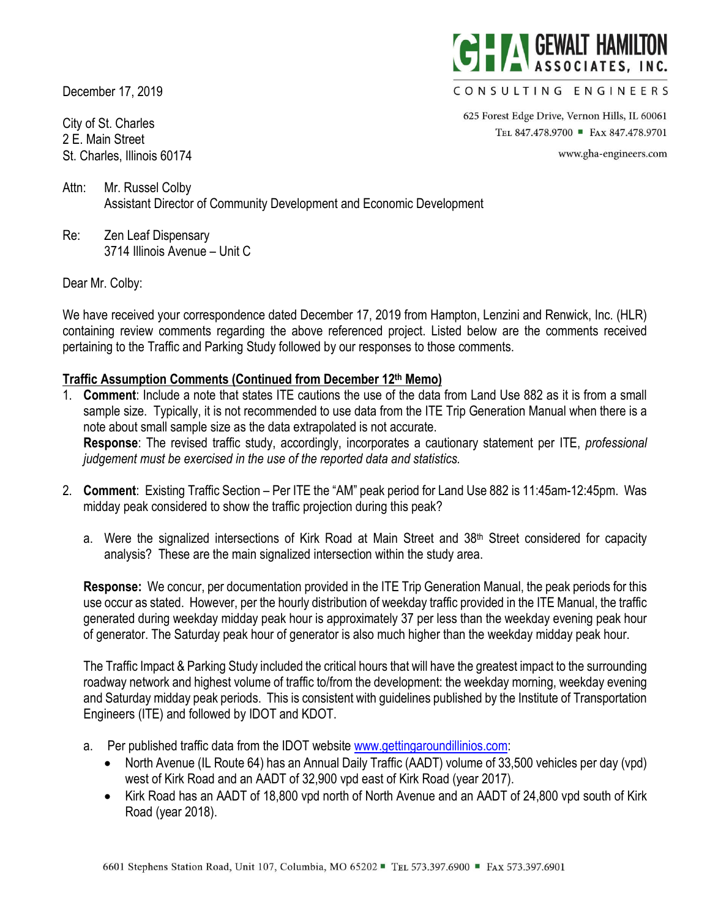December 17, 2019

City of St. Charles 2 E. Main Street St. Charles, Illinois 60174



#### CONSULTING ENGINEERS

625 Forest Edge Drive, Vernon Hills, IL 60061 TEL 847.478.9700 • FAX 847.478.9701

www.gha-engineers.com

Attn: Mr. Russel Colby Assistant Director of Community Development and Economic Development

Re: Zen Leaf Dispensary 3714 Illinois Avenue – Unit C

### Dear Mr. Colby:

We have received your correspondence dated December 17, 2019 from Hampton, Lenzini and Renwick, Inc. (HLR) containing review comments regarding the above referenced project. Listed below are the comments received pertaining to the Traffic and Parking Study followed by our responses to those comments.

### **Traffic Assumption Comments (Continued from December 12th Memo)**

- 1. **Comment**: Include a note that states ITE cautions the use of the data from Land Use 882 as it is from a small sample size. Typically, it is not recommended to use data from the ITE Trip Generation Manual when there is a note about small sample size as the data extrapolated is not accurate. **Response**: The revised traffic study, accordingly, incorporates a cautionary statement per ITE, *professional judgement must be exercised in the use of the reported data and statistics.*
- 2. **Comment**: Existing Traffic Section Per ITE the "AM" peak period for Land Use 882 is 11:45am-12:45pm. Was midday peak considered to show the traffic projection during this peak?
	- a. Were the signalized intersections of Kirk Road at Main Street and 38th Street considered for capacity analysis? These are the main signalized intersection within the study area.

**Response:** We concur, per documentation provided in the ITE Trip Generation Manual, the peak periods for this use occur as stated. However, per the hourly distribution of weekday traffic provided in the ITE Manual, the traffic generated during weekday midday peak hour is approximately 37 per less than the weekday evening peak hour of generator. The Saturday peak hour of generator is also much higher than the weekday midday peak hour.

The Traffic Impact & Parking Study included the critical hours that will have the greatest impact to the surrounding roadway network and highest volume of traffic to/from the development: the weekday morning, weekday evening and Saturday midday peak periods. This is consistent with guidelines published by the Institute of Transportation Engineers (ITE) and followed by IDOT and KDOT.

- a. Per published traffic data from the IDOT website www.gettingaroundillinios.com:
	- North Avenue (IL Route 64) has an Annual Daily Traffic (AADT) volume of 33,500 vehicles per day (vpd) west of Kirk Road and an AADT of 32,900 vpd east of Kirk Road (year 2017).
	- Kirk Road has an AADT of 18,800 vpd north of North Avenue and an AADT of 24,800 vpd south of Kirk Road (year 2018).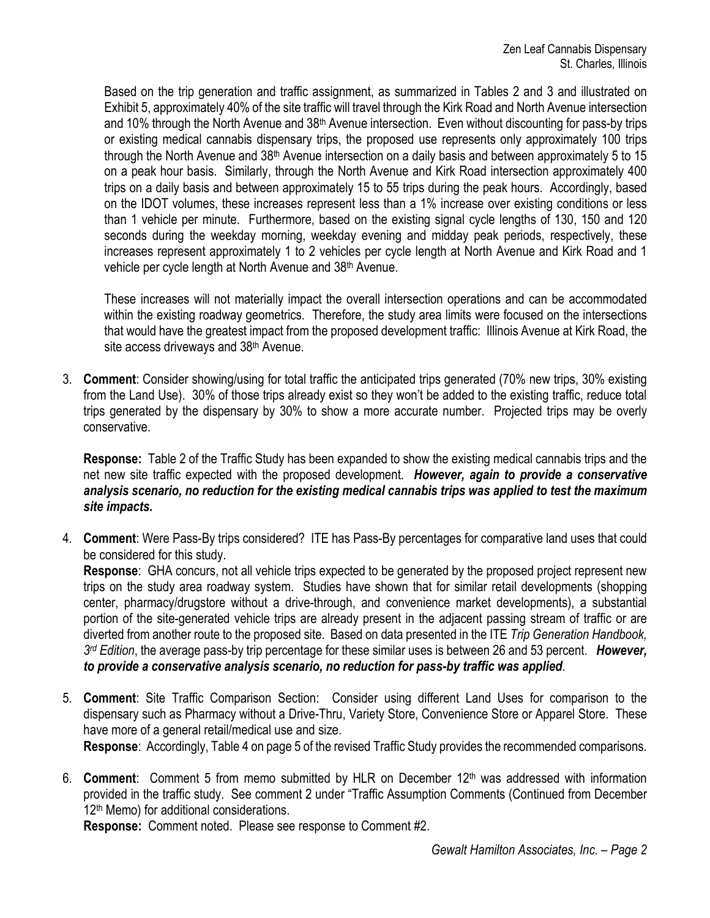Based on the trip generation and traffic assignment, as summarized in Tables 2 and 3 and illustrated on Exhibit 5, approximately 40% of the site traffic will travel through the Kirk Road and North Avenue intersection and 10% through the North Avenue and 38<sup>th</sup> Avenue intersection. Even without discounting for pass-by trips or existing medical cannabis dispensary trips, the proposed use represents only approximately 100 trips through the North Avenue and 38<sup>th</sup> Avenue intersection on a daily basis and between approximately 5 to 15 on a peak hour basis. Similarly, through the North Avenue and Kirk Road intersection approximately 400 trips on a daily basis and between approximately 15 to 55 trips during the peak hours. Accordingly, based on the IDOT volumes, these increases represent less than a 1% increase over existing conditions or less than 1 vehicle per minute. Furthermore, based on the existing signal cycle lengths of 130, 150 and 120 seconds during the weekday morning, weekday evening and midday peak periods, respectively, these increases represent approximately 1 to 2 vehicles per cycle length at North Avenue and Kirk Road and 1 vehicle per cycle length at North Avenue and 38<sup>th</sup> Avenue.

These increases will not materially impact the overall intersection operations and can be accommodated within the existing roadway geometrics. Therefore, the study area limits were focused on the intersections that would have the greatest impact from the proposed development traffic: Illinois Avenue at Kirk Road, the site access driveways and 38<sup>th</sup> Avenue.

3. **Comment**: Consider showing/using for total traffic the anticipated trips generated (70% new trips, 30% existing from the Land Use). 30% of those trips already exist so they won't be added to the existing traffic, reduce total trips generated by the dispensary by 30% to show a more accurate number. Projected trips may be overly conservative.

**Response:** Table 2 of the Traffic Study has been expanded to show the existing medical cannabis trips and the net new site traffic expected with the proposed development. *However, again to provide a conservative analysis scenario, no reduction for the existing medical cannabis trips was applied to test the maximum site impacts.*

4. **Comment**: Were Pass-By trips considered? ITE has Pass-By percentages for comparative land uses that could be considered for this study.

**Response**: GHA concurs, not all vehicle trips expected to be generated by the proposed project represent new trips on the study area roadway system. Studies have shown that for similar retail developments (shopping center, pharmacy/drugstore without a drive-through, and convenience market developments), a substantial portion of the site-generated vehicle trips are already present in the adjacent passing stream of traffic or are diverted from another route to the proposed site. Based on data presented in the ITE *Trip Generation Handbook, 3rd Edition*, the average pass-by trip percentage for these similar uses is between 26 and 53 percent. *However, to provide a conservative analysis scenario, no reduction for pass-by traffic was applied*.

5. **Comment**: Site Traffic Comparison Section: Consider using different Land Uses for comparison to the dispensary such as Pharmacy without a Drive-Thru, Variety Store, Convenience Store or Apparel Store. These have more of a general retail/medical use and size.

**Response**: Accordingly, Table 4 on page 5 of the revised Traffic Study provides the recommended comparisons.

6. **Comment**: Comment 5 from memo submitted by HLR on December 12th was addressed with information provided in the traffic study. See comment 2 under "Traffic Assumption Comments (Continued from December 12<sup>th</sup> Memo) for additional considerations.

**Response:** Comment noted. Please see response to Comment #2.